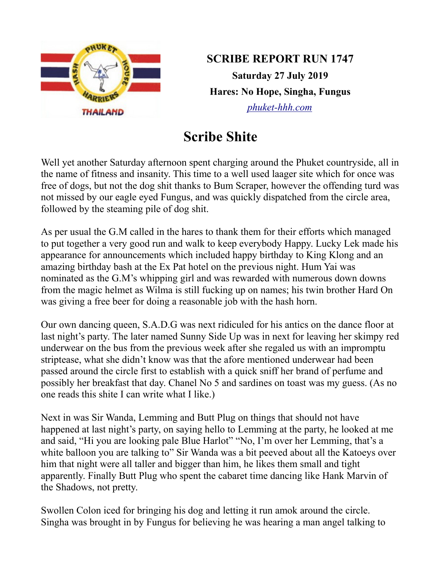

**SCRIBE REPORT RUN 1747 Saturday 27 July 2019 Hares: No Hope, Singha, Fungus** *[phuket-hhh.com](http://phuket-hhh.com/)*

## **Scribe Shite**

Well yet another Saturday afternoon spent charging around the Phuket countryside, all in the name of fitness and insanity. This time to a well used laager site which for once was free of dogs, but not the dog shit thanks to Bum Scraper, however the offending turd was not missed by our eagle eyed Fungus, and was quickly dispatched from the circle area, followed by the steaming pile of dog shit.

As per usual the G.M called in the hares to thank them for their efforts which managed to put together a very good run and walk to keep everybody Happy. Lucky Lek made his appearance for announcements which included happy birthday to King Klong and an amazing birthday bash at the Ex Pat hotel on the previous night. Hum Yai was nominated as the G.M's whipping girl and was rewarded with numerous down downs from the magic helmet as Wilma is still fucking up on names; his twin brother Hard On was giving a free beer for doing a reasonable job with the hash horn.

Our own dancing queen, S.A.D.G was next ridiculed for his antics on the dance floor at last night's party. The later named Sunny Side Up was in next for leaving her skimpy red underwear on the bus from the previous week after she regaled us with an impromptu striptease, what she didn't know was that the afore mentioned underwear had been passed around the circle first to establish with a quick sniff her brand of perfume and possibly her breakfast that day. Chanel No 5 and sardines on toast was my guess. (As no one reads this shite I can write what I like.)

Next in was Sir Wanda, Lemming and Butt Plug on things that should not have happened at last night's party, on saying hello to Lemming at the party, he looked at me and said, "Hi you are looking pale Blue Harlot" "No, I'm over her Lemming, that's a white balloon you are talking to" Sir Wanda was a bit peeved about all the Katoeys over him that night were all taller and bigger than him, he likes them small and tight apparently. Finally Butt Plug who spent the cabaret time dancing like Hank Marvin of the Shadows, not pretty.

Swollen Colon iced for bringing his dog and letting it run amok around the circle. Singha was brought in by Fungus for believing he was hearing a man angel talking to